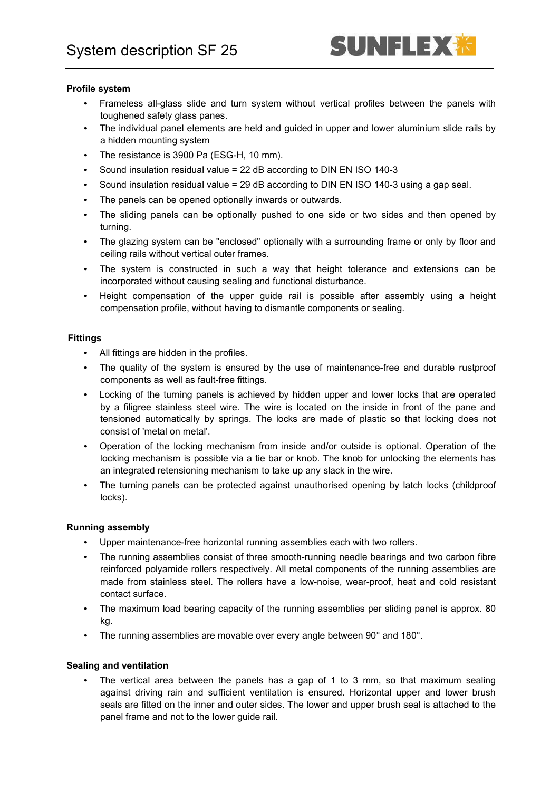# SUNFLEX

# **Profile system**

- Frameless all-glass slide and turn system without vertical profiles between the panels with toughened safety glass panes.
- The individual panel elements are held and guided in upper and lower aluminium slide rails by a hidden mounting system
- The resistance is 3900 Pa (ESG-H, 10 mm).
- Sound insulation residual value = 22 dB according to DIN EN ISO 140-3
- Sound insulation residual value = 29 dB according to DIN EN ISO 140-3 using a gap seal.
- The panels can be opened optionally inwards or outwards.
- The sliding panels can be optionally pushed to one side or two sides and then opened by turning.
- The glazing system can be "enclosed" optionally with a surrounding frame or only by floor and ceiling rails without vertical outer frames.
- The system is constructed in such a way that height tolerance and extensions can be incorporated without causing sealing and functional disturbance.
- Height compensation of the upper guide rail is possible after assembly using a height compensation profile, without having to dismantle components or sealing.

# **Fittings**

- All fittings are hidden in the profiles.
- The quality of the system is ensured by the use of maintenance-free and durable rustproof components as well as fault-free fittings.
- Locking of the turning panels is achieved by hidden upper and lower locks that are operated by a filigree stainless steel wire. The wire is located on the inside in front of the pane and tensioned automatically by springs. The locks are made of plastic so that locking does not consist of 'metal on metal'.
- Operation of the locking mechanism from inside and/or outside is optional. Operation of the locking mechanism is possible via a tie bar or knob. The knob for unlocking the elements has an integrated retensioning mechanism to take up any slack in the wire.
- The turning panels can be protected against unauthorised opening by latch locks (childproof locks).

#### **Running assembly**

- Upper maintenance-free horizontal running assemblies each with two rollers.
- The running assemblies consist of three smooth-running needle bearings and two carbon fibre reinforced polyamide rollers respectively. All metal components of the running assemblies are made from stainless steel. The rollers have a low-noise, wear-proof, heat and cold resistant contact surface.
- The maximum load bearing capacity of the running assemblies per sliding panel is approx. 80 kg.
- The running assemblies are movable over every angle between 90° and 180°.

#### **Sealing and ventilation**

• The vertical area between the panels has a gap of 1 to 3 mm, so that maximum sealing against driving rain and sufficient ventilation is ensured. Horizontal upper and lower brush seals are fitted on the inner and outer sides. The lower and upper brush seal is attached to the panel frame and not to the lower guide rail.